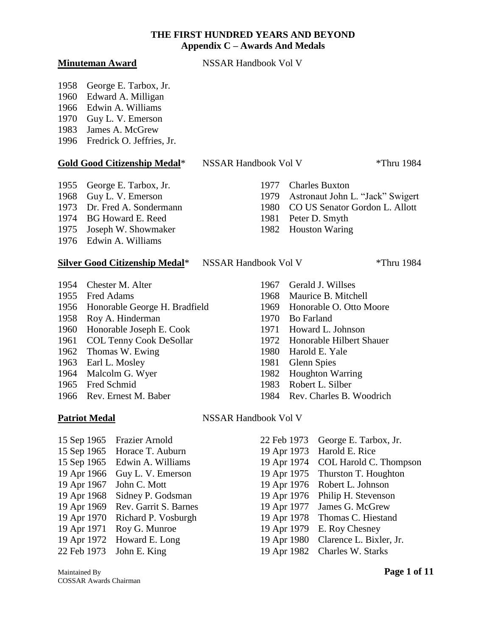**Minuteman Award** NSSAR Handbook Vol V

1958 George E. Tarbox, Jr.

- 1960 Edward A. Milligan
- 1966 Edwin A. Williams
- 1970 Guy L. V. Emerson
- 1983 James A. McGrew
- 1996 Fredrick O. Jeffries, Jr.

# **Gold Good Citizenship Medal**\* NSSAR Handbook Vol V \*Thru 1984

- 1955 George E. Tarbox, Jr. 1977 Charles Buxton
- 
- 
- 1974 BG Howard E. Reed 1981 Peter D. Smyth
- 1975 Joseph W. Showmaker 1982 Houston Waring
- 1976 Edwin A. Williams

#### **Silver Good Citizenship Medal**\* NSSAR Handbook Vol V \*Thru 1984

1954 Chester M. Alter 1967 Gerald J. Willses Fred Adams 1968 Maurice B. Mitchell Honorable George H. Bradfield 1969 Honorable O. Otto Moore Roy A. Hinderman 1970 Bo Farland Honorable Joseph E. Cook 1971 Howard L. Johnson COL Tenny Cook DeSollar 1972 Honorable Hilbert Shauer 1962 Thomas W. Ewing 1980 Harold E. Yale Earl L. Mosley 1981 Glenn Spies 1964 Malcolm G. Wyer 1982 Houghton Warring Fred Schmid 1983 Robert L. Silber

- 15 Sep 1965 Frazier Arnold 22 Feb 1973 George E. Tarbox, Jr. 15 Sep 1965 Horace T. Auburn 19 Apr 1973 Harold E. Rice 19 Apr 1971 Roy G. Munroe 19 Apr 1979 E. Roy Chesney
- 
- 

- 1968 Guy L. V. Emerson 1979 Astronaut John L. "Jack" Swigert
- 1973 Dr. Fred A. Sondermann 1980 CO US Senator Gordon L. Allott
	-
	-

- 
- 
- 
- 
- 
- 
- 
- 
- 
- 
- 1966 Rev. Ernest M. Baber 1984 Rev. Charles B. Woodrich

### Patriot Medal NSSAR Handbook Vol V

15 Sep 1965 Edwin A. Williams 19 Apr 1974 COL Harold C. Thompson 19 Apr 1966 Guy L. V. Emerson 19 Apr 1975 Thurston T. Houghton 19 Apr 1967 John C. Mott 19 Apr 1976 Robert L. Johnson 19 Apr 1968 Sidney P. Godsman 19 Apr 1976 Philip H. Stevenson 19 Apr 1969 Rev. Garrit S. Barnes 19 Apr 1977 James G. McGrew 19 Apr 1970 Richard P. Vosburgh 19 Apr 1978 Thomas C. Hiestand 19 Apr 1972 Howard E. Long 19 Apr 1980 Clarence L. Bixler, Jr. 22 Feb 1973 John E. King 19 Apr 1982 Charles W. Starks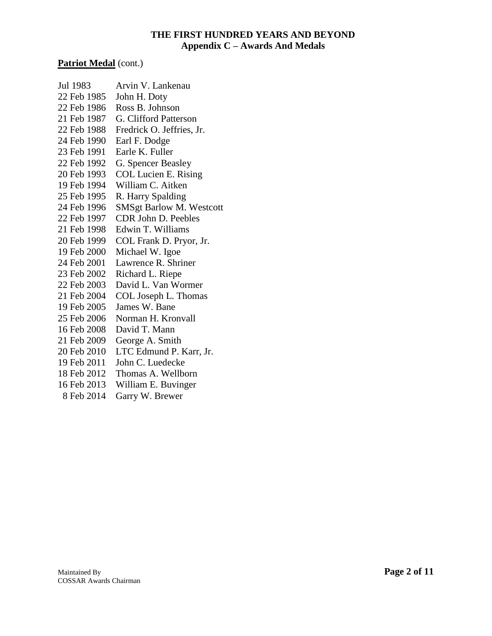#### Patriot Medal (cont.)

- Jul 1983 Arvin V. Lankenau 22 Feb 1985 John H. Doty 22 Feb 1986 Ross B. Johnson 21 Feb 1987 G. Clifford Patterson 22 Feb 1988 Fredrick O. Jeffries, Jr. 24 Feb 1990 Earl F. Dodge 23 Feb 1991 Earle K. Fuller 22 Feb 1992 G. Spencer Beasley
- 20 Feb 1993 COL Lucien E. Rising
- 19 Feb 1994 William C. Aitken
- 25 Feb 1995 R. Harry Spalding
- 24 Feb 1996 SMSgt Barlow M. Westcott
- 22 Feb 1997 CDR John D. Peebles
- 21 Feb 1998 Edwin T. Williams
- 20 Feb 1999 COL Frank D. Pryor, Jr.
- 19 Feb 2000 Michael W. Igoe
- 24 Feb 2001 Lawrence R. Shriner
- 23 Feb 2002 Richard L. Riepe
- 22 Feb 2003 David L. Van Wormer
- 21 Feb 2004 COL Joseph L. Thomas
- 19 Feb 2005 James W. Bane
- 25 Feb 2006 Norman H. Kronvall
- 16 Feb 2008 David T. Mann
- 21 Feb 2009 George A. Smith
- 20 Feb 2010 LTC Edmund P. Karr, Jr.
- 19 Feb 2011 John C. Luedecke
- 18 Feb 2012 Thomas A. Wellborn
- 16 Feb 2013 William E. Buvinger
- 8 Feb 2014 Garry W. Brewer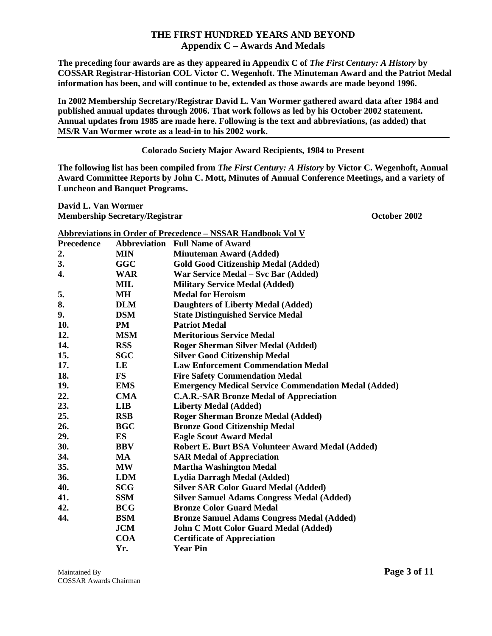**The preceding four awards are as they appeared in Appendix C of** *The First Century: A History* **by COSSAR Registrar-Historian COL Victor C. Wegenhoft. The Minuteman Award and the Patriot Medal information has been, and will continue to be, extended as those awards are made beyond 1996.**

**In 2002 Membership Secretary/Registrar David L. Van Wormer gathered award data after 1984 and published annual updates through 2006. That work follows as led by his October 2002 statement. Annual updates from 1985 are made here. Following is the text and abbreviations, (as added) that MS/R Van Wormer wrote as a lead-in to his 2002 work.** 

#### **Colorado Society Major Award Recipients, 1984 to Present**

**The following list has been compiled from** *The First Century: A History* **by Victor C. Wegenhoft, Annual Award Committee Reports by John C. Mott, Minutes of Annual Conference Meetings, and a variety of Luncheon and Banquet Programs.**

**David L. Van Wormer Membership Secretary/Registrar Contact Secretary/Registrar Contact Secretary And Secretary And Secretary And Secretary And Secretary And Secretary And Secretary And Secretary And Secretary And Secretary And Secretary And** 

|            |              | <b>Abbreviations in Order of Precedence - NSSAR Handbook Vol V</b> |
|------------|--------------|--------------------------------------------------------------------|
| Precedence | Abbreviation | <b>Full Name of Award</b>                                          |
| 2.         | <b>MIN</b>   | <b>Minuteman Award (Added)</b>                                     |
| 3.         | <b>GGC</b>   | <b>Gold Good Citizenship Medal (Added)</b>                         |
| 4.         | <b>WAR</b>   | War Service Medal – Svc Bar (Added)                                |
|            | <b>MIL</b>   | <b>Military Service Medal (Added)</b>                              |
| 5.         | MН           | <b>Medal for Heroism</b>                                           |
| 8.         | <b>DLM</b>   | <b>Daughters of Liberty Medal (Added)</b>                          |
| 9.         | <b>DSM</b>   | <b>State Distinguished Service Medal</b>                           |
| 10.        | PM           | <b>Patriot Medal</b>                                               |
| 12.        | <b>MSM</b>   | <b>Meritorious Service Medal</b>                                   |
| 14.        | <b>RSS</b>   | <b>Roger Sherman Silver Medal (Added)</b>                          |
| 15.        | <b>SGC</b>   | <b>Silver Good Citizenship Medal</b>                               |
| 17.        | LE           | <b>Law Enforcement Commendation Medal</b>                          |
| 18.        | <b>FS</b>    | <b>Fire Safety Commendation Medal</b>                              |
| 19.        | <b>EMS</b>   | <b>Emergency Medical Service Commendation Medal (Added)</b>        |
| 22.        | <b>CMA</b>   | <b>C.A.R.-SAR Bronze Medal of Appreciation</b>                     |
| 23.        | <b>LIB</b>   | <b>Liberty Medal (Added)</b>                                       |
| 25.        | <b>RSB</b>   | <b>Roger Sherman Bronze Medal (Added)</b>                          |
| 26.        | <b>BGC</b>   | <b>Bronze Good Citizenship Medal</b>                               |
| 29.        | ES           | <b>Eagle Scout Award Medal</b>                                     |
| 30.        | <b>BBV</b>   | Robert E. Burt BSA Volunteer Award Medal (Added)                   |
| 34.        | MA           | <b>SAR Medal of Appreciation</b>                                   |
| 35.        | <b>MW</b>    | <b>Martha Washington Medal</b>                                     |
| 36.        | <b>LDM</b>   | Lydia Darragh Medal (Added)                                        |
| 40.        | <b>SCG</b>   | <b>Silver SAR Color Guard Medal (Added)</b>                        |
| 41.        | <b>SSM</b>   | <b>Silver Samuel Adams Congress Medal (Added)</b>                  |
| 42.        | <b>BCG</b>   | <b>Bronze Color Guard Medal</b>                                    |
| 44.        | <b>BSM</b>   | <b>Bronze Samuel Adams Congress Medal (Added)</b>                  |
|            | <b>JCM</b>   | <b>John C Mott Color Guard Medal (Added)</b>                       |
|            | <b>COA</b>   | <b>Certificate of Appreciation</b>                                 |
|            | Yr.          | <b>Year Pin</b>                                                    |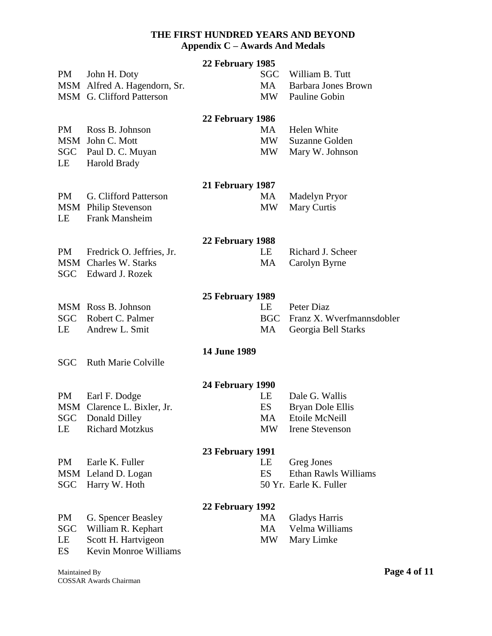| <b>PM</b>                           | John H. Doty<br>MSM Alfred A. Hagendorn, Sr.<br>MSM G. Clifford Patterson                          | 22 February 1985 | <b>SGC</b><br>MA<br>MW      | William B. Tutt<br><b>Barbara Jones Brown</b><br>Pauline Gobin          |
|-------------------------------------|----------------------------------------------------------------------------------------------------|------------------|-----------------------------|-------------------------------------------------------------------------|
| PM<br>LE                            | Ross B. Johnson<br>MSM John C. Mott<br>SGC Paul D. C. Muyan<br>Harold Brady                        | 22 February 1986 | MA<br>MW<br><b>MW</b>       | Helen White<br>Suzanne Golden<br>Mary W. Johnson                        |
| PM<br>LE                            | G. Clifford Patterson<br><b>MSM</b> Philip Stevenson<br>Frank Mansheim                             | 21 February 1987 | MA<br><b>MW</b>             | <b>Madelyn Pryor</b><br>Mary Curtis                                     |
| PM                                  | Fredrick O. Jeffries, Jr.<br><b>MSM</b> Charles W. Starks<br>SGC Edward J. Rozek                   | 22 February 1988 | LE<br>MA                    | Richard J. Scheer<br>Carolyn Byrne                                      |
| LE                                  | MSM Ross B. Johnson<br>SGC Robert C. Palmer<br>Andrew L. Smit                                      | 25 February 1989 | LE<br><b>BGC</b><br>MA      | Peter Diaz<br>Franz X. Wverfmannsdobler<br>Georgia Bell Starks          |
| <b>SGC</b>                          | <b>Ruth Marie Colville</b>                                                                         | 14 June 1989     |                             |                                                                         |
| PM<br>LE                            | Earl F. Dodge<br>MSM Clarence L. Bixler, Jr.<br><b>SGC</b> Donald Dilley<br><b>Richard Motzkus</b> | 24 February 1990 | LE<br><b>ES</b><br>MA<br>MW | Dale G. Wallis<br>Bryan Dole Ellis<br>Etoile McNeill<br>Irene Stevenson |
| PM<br>SGC                           | Earle K. Fuller<br>MSM Leland D. Logan<br>Harry W. Hoth                                            | 23 February 1991 | LE<br>ES                    | Greg Jones<br>Ethan Rawls Williams<br>50 Yr. Earle K. Fuller            |
| <b>PM</b><br><b>SGC</b><br>LE<br>ES | G. Spencer Beasley<br>William R. Kephart<br>Scott H. Hartvigeon<br>Kevin Monroe Williams           | 22 February 1992 | MA<br>MA<br><b>MW</b>       | <b>Gladys Harris</b><br>Velma Williams<br>Mary Limke                    |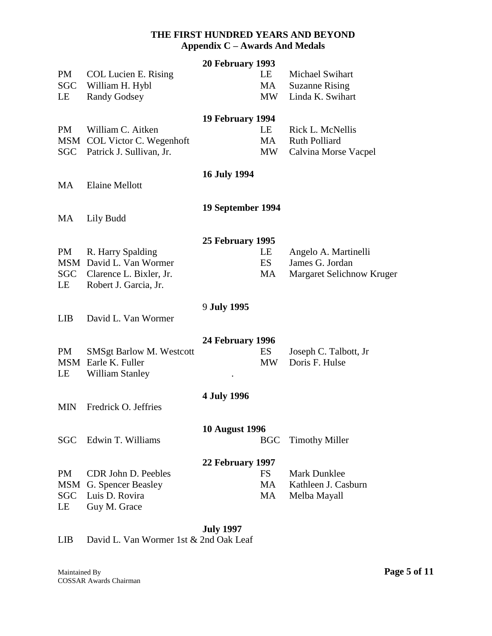|                  |                                                        | 20 February 1993      |                 |                                              |
|------------------|--------------------------------------------------------|-----------------------|-----------------|----------------------------------------------|
| PM<br><b>SGC</b> | <b>COL Lucien E. Rising</b><br>William H. Hybl         |                       | LE<br>MA        | Michael Swihart<br><b>Suzanne Rising</b>     |
| LE               | <b>Randy Godsey</b>                                    |                       | <b>MW</b>       | Linda K. Swihart                             |
|                  |                                                        | 19 February 1994      |                 |                                              |
| PM               | William C. Aitken                                      |                       | LE              | Rick L. McNellis                             |
|                  | MSM COL Victor C. Wegenhoft                            |                       | MA              | <b>Ruth Polliard</b>                         |
|                  | SGC Patrick J. Sullivan, Jr.                           |                       | MW              | Calvina Morse Vacpel                         |
|                  |                                                        | <b>16 July 1994</b>   |                 |                                              |
| MA               | <b>Elaine Mellott</b>                                  |                       |                 |                                              |
|                  |                                                        | 19 September 1994     |                 |                                              |
| MA               | Lily Budd                                              |                       |                 |                                              |
|                  |                                                        | 25 February 1995      |                 |                                              |
| <b>PM</b>        | R. Harry Spalding                                      |                       | LE              | Angelo A. Martinelli                         |
|                  | MSM David L. Van Wormer<br>SGC Clarence L. Bixler, Jr. |                       | ES<br>MA        | James G. Jordan<br>Margaret Selichnow Kruger |
| LE               | Robert J. Garcia, Jr.                                  |                       |                 |                                              |
|                  |                                                        |                       |                 |                                              |
| <b>LIB</b>       | David L. Van Wormer                                    | 9 July 1995           |                 |                                              |
|                  |                                                        |                       |                 |                                              |
|                  |                                                        | 24 February 1996      |                 |                                              |
| PM               | <b>SMSgt Barlow M. Westcott</b><br>MSM Earle K. Fuller |                       | ES<br><b>MW</b> | Joseph C. Talbott, Jr<br>Doris F. Hulse      |
| LE               | <b>William Stanley</b>                                 |                       |                 |                                              |
|                  |                                                        | <b>4 July 1996</b>    |                 |                                              |
| <b>MIN</b>       | Fredrick O. Jeffries                                   |                       |                 |                                              |
|                  |                                                        | <b>10 August 1996</b> |                 |                                              |
| <b>SGC</b>       | Edwin T. Williams                                      |                       | <b>BGC</b>      | <b>Timothy Miller</b>                        |
|                  |                                                        | 22 February 1997      |                 |                                              |
| <b>PM</b>        | CDR John D. Peebles                                    |                       | <b>FS</b>       | <b>Mark Dunklee</b>                          |
| MSM              | G. Spencer Beasley                                     |                       | <b>MA</b>       | Kathleen J. Casburn                          |
| <b>SGC</b>       | Luis D. Rovira                                         |                       | MA              | Melba Mayall                                 |
| LE               | Guy M. Grace                                           |                       |                 |                                              |

# **July 1997**

LIB David L. Van Wormer 1st & 2nd Oak Leaf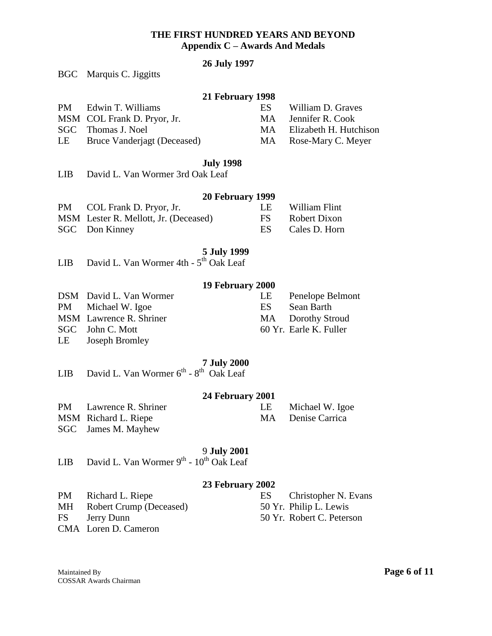# **26 July 1997**

| BGC Marquis C. Jiggitts |
|-------------------------|
|                         |

#### **21 February 1998**

| PM | Edwin T. Williams                  | ES. | William D. Graves         |
|----|------------------------------------|-----|---------------------------|
|    | MSM COL Frank D. Pryor, Jr.        |     | MA Jennifer R. Cook       |
|    | SGC Thomas J. Noel                 |     | MA Elizabeth H. Hutchison |
| LE | <b>Bruce Vanderjagt (Deceased)</b> |     | MA Rose-Mary C. Meyer     |

#### **July 1998**

| LIB. | David L. Van Wormer 3rd Oak Leaf |  |  |  |
|------|----------------------------------|--|--|--|
|      |                                  |  |  |  |

# **20 February 1999**

| PM COL Frank D. Pryor, Jr.            | LE William Flint |
|---------------------------------------|------------------|
| MSM Lester R. Mellott, Jr. (Deceased) | FS Robert Dixon  |
| SGC Don Kinney                        | ES Cales D. Horn |

#### **5 July 1999**

|  | LIB David L. Van Wormer 4th - 5 <sup>th</sup> Oak Leaf |  |  |
|--|--------------------------------------------------------|--|--|
|  |                                                        |  |  |

# **19 February 2000**

| DSM David L. Van Wormer | LE – | Penelope Belmont       |
|-------------------------|------|------------------------|
| PM Michael W. Igoe      | ES.  | Sean Barth             |
| MSM Lawrence R. Shriner |      | MA Dorothy Stroud      |
| SGC John C. Mott        |      | 60 Yr. Earle K. Fuller |
| LE Joseph Bromley       |      |                        |

# **7 July 2000** th

|  | LIB David L. Van Wormer $6^{th}$ - $8^{th}$ Oak Leaf |  |
|--|------------------------------------------------------|--|
|  |                                                      |  |

# **24 February 2001**

LE Michael W. Igoe<br>MA Denise Carrica Denise Carrica

|  | PM Lawrence R. Shriner |
|--|------------------------|
|  | MSM Richard L. Riepe   |
|  | _______                |

SGC James M. Mayhew

# 9 **July 2001**

| LIB David L. Van Wormer $9^{th}$ - $10^{th}$ Oak Leaf |
|-------------------------------------------------------|
|-------------------------------------------------------|

# **23 February 2002**

|    |                            | $20$ T CDI Gai $\gamma$ 2002 |                           |
|----|----------------------------|------------------------------|---------------------------|
| PM | Richard L. Riepe           | ES                           | Christopher N. Evans      |
|    | MH Robert Crump (Deceased) |                              | 50 Yr. Philip L. Lewis    |
|    | FS Jerry Dunn              |                              | 50 Yr. Robert C. Peterson |
|    | CMA Loren D. Cameron       |                              |                           |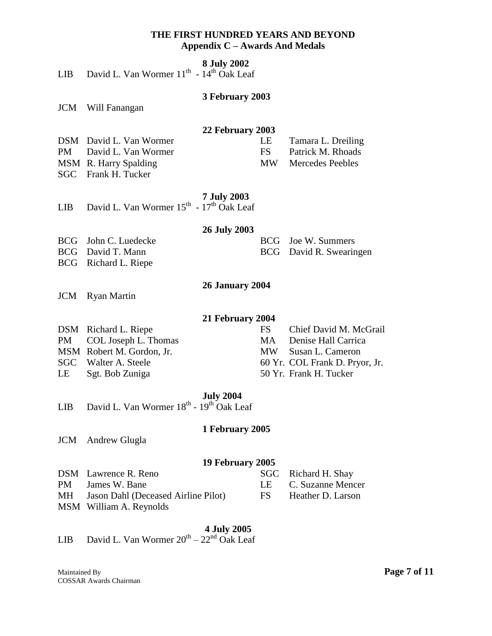| <b>8 July 2002</b> |  |
|--------------------|--|
|--------------------|--|

|  |  |  |  |  |  | LIB David L. Van Wormer $11^{th}$ - $14^{th}$ Oak Leaf |
|--|--|--|--|--|--|--------------------------------------------------------|
|--|--|--|--|--|--|--------------------------------------------------------|

#### **3 February 2003**

JCM Will Fanangan

#### **22 February 2003**

| DSM David L. Van Wormer | LE Tamara L. Dreiling |
|-------------------------|-----------------------|
| PM David L. Van Wormer  | FS Patrick M. Rhoads  |
| MSM R. Harry Spalding   | MW Mercedes Peebles   |
| SGC Frank H. Tucker     |                       |

#### **7 July 2003**

|  | LIB David L. Van Wormer $15^{th}$ - $17^{th}$ Oak Leaf |  |  |  |  |  |  |
|--|--------------------------------------------------------|--|--|--|--|--|--|
|--|--------------------------------------------------------|--|--|--|--|--|--|

#### **26 July 2003**

BCG John C. Luedecke BCG Joe W. Summers

BCG David T. Mann BCG David R. Swearingen

BCG Richard L. Riepe

## **26 January 2004**

JCM Ryan Martin

# **21 February 2004**

| DSM Richard L. Riepe      | FS Chief David M. McGrail      |
|---------------------------|--------------------------------|
| PM COL Joseph L. Thomas   | MA Denise Hall Carrica         |
| MSM Robert M. Gordon, Jr. | MW Susan L. Cameron            |
| SGC Walter A. Steele      | 60 Yr. COL Frank D. Pryor, Jr. |
| LE Sgt. Bob Zuniga        | 50 Yr. Frank H. Tucker         |

# **July 2004**

LIB David L. Van Wormer  $18^{th}$  -  $19^{th}$  Oak Leaf

#### **1 February 2005**

JCM Andrew Glugla

#### **19 February 2005**

| DSM Lawrence R. Reno                   | SGC Richard H. Shay  |
|----------------------------------------|----------------------|
| PM James W. Bane                       | LE C. Suzanne Mencer |
| MH Jason Dahl (Deceased Airline Pilot) | FS Heather D. Larson |

MSM William A. Reynolds

#### **4 July 2005**

# LIB David L. Van Wormer  $20^{th} - 22^{nd}$  Oak Leaf

Maintained By **Page 7 of 11** COSSAR Awards Chairman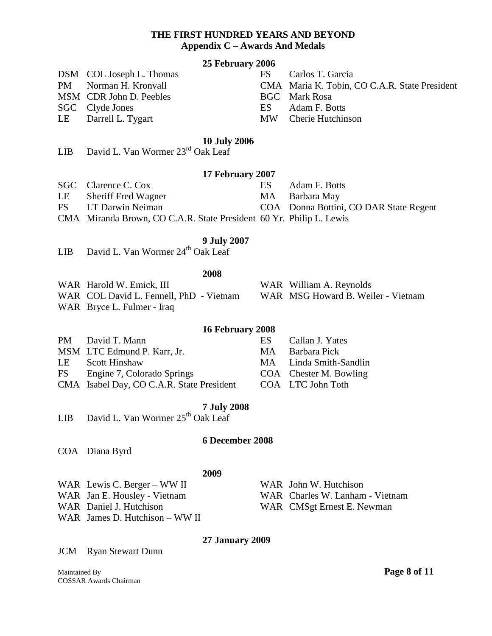#### **25 February 2006**

| DSM COL Joseph L. Thomas |  |
|--------------------------|--|
|--------------------------|--|

- 
- MSM CDR John D. Peebles BGC Mark Rosa
- SGC Clyde Jones ES Adam F. Botts
- 

#### **10 July 2006**

LIB David L. Van Wormer 23rd Oak Leaf

#### **17 February 2007**

- SGC Clarence C. Cox ES Adam F. Botts
- LE Sheriff Fred Wagner MA Barbara May
- FS LT Darwin Neiman COA Donna Bottini, CO DAR State Regent
- 
- CMA Miranda Brown, CO C.A.R. State President 60 Yr. Philip L. Lewis

# **9 July 2007**

LIB David L. Van Wormer  $24<sup>th</sup>$  Oak Leaf

#### **2008**

- WAR Harold W. Emick, III WAR William A. Reynolds
- WAR COL David L. Fennell, PhD Vietnam WAR MSG Howard B. Weiler Vietnam
- WAR Bryce L. Fulmer Iraq

### **16 February 2008**

|    | PM David T. Mann                          | ES. | Callan J. Yates        |
|----|-------------------------------------------|-----|------------------------|
|    | MSM LTC Edmund P. Karr, Jr.               |     | MA Barbara Pick        |
| LE | <b>Scott Hinshaw</b>                      |     | MA Linda Smith-Sandlin |
| FS | Engine 7, Colorado Springs                |     | COA Chester M. Bowling |
|    | CMA Isabel Day, CO C.A.R. State President |     | COA LTC John Toth      |

#### **7 July 2008**

LIB David L. Van Wormer 25<sup>th</sup> Oak Leaf

#### **6 December 2008**

COA Diana Byrd

#### **2009**

- 
- 
- 
- WAR James D. Hutchison WW II
- WAR Lewis C. Berger WW II WAR John W. Hutchison WAR Jan E. Housley - Vietnam WAR Charles W. Lanham - Vietnam WAR Daniel J. Hutchison WAR CMSgt Ernest E. Newman

### **27 January 2009**

JCM Ryan Stewart Dunn

Maintained By **Page 8 of 11** COSSAR Awards Chairman

- FS Carlos T. Garcia PM Norman H. Kronvall CMA Maria K. Tobin, CO C.A.R. State President
	-
- LE Darrell L. Tygart MW Cherie Hutchinson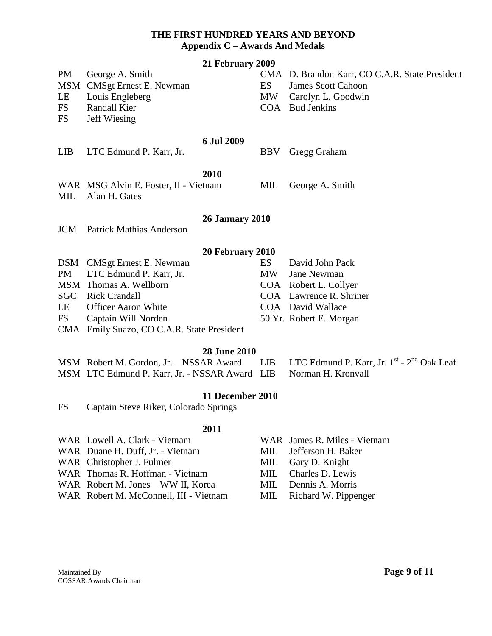| 21 February 2009 |  |
|------------------|--|
|------------------|--|

PM George A. Smith CMA D. Brandon Karr, CO C.A.R. State President MSM CMSgt Ernest E. Newman ES James Scott Cahoon LE Louis Engleberg MW Carolyn L. Goodwin FS Randall Kier COA Bud Jenkins FS Jeff Wiesing **6 Jul 2009** LIB LTC Edmund P. Karr, Jr. BBV Gregg Graham

# **2010**

WAR MSG Alvin E. Foster, II - Vietnam MIL George A. Smith MIL Alan H. Gates

### **26 January 2010**

JCM Patrick Mathias Anderson

### **20 February 2010**

|    | DSM CMSgt Ernest E. Newman                 | ES. | David John Pack         |
|----|--------------------------------------------|-----|-------------------------|
|    | PM LTC Edmund P. Karr, Jr.                 |     | MW Jane Newman          |
|    | MSM Thomas A. Wellborn                     |     | COA Robert L. Collyer   |
|    | <b>SGC</b> Rick Crandall                   |     | COA Lawrence R. Shriner |
|    | LE Officer Aaron White                     |     | COA David Wallace       |
| FS | Captain Will Norden                        |     | 50 Yr. Robert E. Morgan |
|    | $CMA$ Emily Sueze $CORA$ B State Dragglant |     |                         |

CMA Emily Suazo, CO C.A.R. State President

### **28 June 2010**

| MSM Robert M. Gordon, Jr. - NSSAR Award LIB LTC Edmund P. Karr, Jr. 1 <sup>st</sup> - 2 <sup>nd</sup> Oak Leaf |  |
|----------------------------------------------------------------------------------------------------------------|--|
| MSM LTC Edmund P. Karr, Jr. - NSSAR Award LIB Norman H. Kronvall                                               |  |

### **11 December 2010**

FS Captain Steve Riker, Colorado Springs

#### **2011**

- WAR Lowell A. Clark Vietnam WAR James R. Miles Vietnam
- WAR Duane H. Duff, Jr. Vietnam MIL Jefferson H. Baker
- WAR Christopher J. Fulmer MIL Gary D. Knight
- WAR Thomas R. Hoffman Vietnam MIL Charles D. Lewis
- WAR Robert M. Jones WW II, Korea MIL Dennis A. Morris
- WAR Robert M. McConnell, III Vietnam MIL Richard W. Pippenger
- 
- 
- 
- 
- -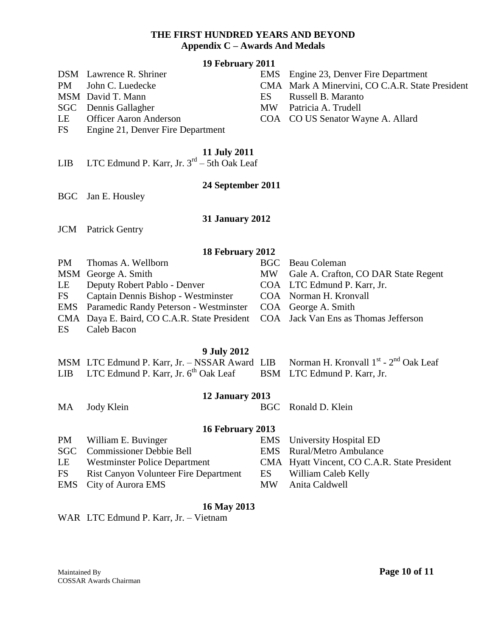|                         | 19 February 2011                                                              |            |                                                                       |  |
|-------------------------|-------------------------------------------------------------------------------|------------|-----------------------------------------------------------------------|--|
|                         | DSM Lawrence R. Shriner                                                       | <b>EMS</b> | Engine 23, Denver Fire Department                                     |  |
| <b>PM</b>               | John C. Luedecke<br>MSM David T. Mann                                         | ES         | CMA Mark A Minervini, CO C.A.R. State President<br>Russell B. Maranto |  |
| <b>SGC</b>              | Dennis Gallagher                                                              | <b>MW</b>  | Patricia A. Trudell                                                   |  |
| LE                      | Officer Aaron Anderson                                                        |            | COA CO US Senator Wayne A. Allard                                     |  |
| <b>FS</b>               | Engine 21, Denver Fire Department                                             |            |                                                                       |  |
| LIB                     | <b>11 July 2011</b><br>LTC Edmund P. Karr, Jr. $3^{rd}$ – 5th Oak Leaf        |            |                                                                       |  |
|                         | 24 September 2011                                                             |            |                                                                       |  |
| <b>BGC</b>              | Jan E. Housley                                                                |            |                                                                       |  |
|                         | <b>31 January 2012</b>                                                        |            |                                                                       |  |
| <b>JCM</b>              | <b>Patrick Gentry</b>                                                         |            |                                                                       |  |
|                         | 18 February 2012                                                              |            |                                                                       |  |
| <b>PM</b>               | Thomas A. Wellborn                                                            | <b>BGC</b> | <b>Beau Coleman</b>                                                   |  |
|                         | MSM George A. Smith                                                           | <b>MW</b>  | Gale A. Crafton, CO DAR State Regent                                  |  |
| LE                      | Deputy Robert Pablo - Denver                                                  |            | COA LTC Edmund P. Karr, Jr.                                           |  |
| <b>FS</b><br><b>EMS</b> | Captain Dennis Bishop - Westminster<br>Paramedic Randy Peterson - Westminster |            | COA Norman H. Kronvall<br>COA George A. Smith                         |  |
|                         | CMA Daya E. Baird, CO C.A.R. State President                                  |            | COA Jack Van Ens as Thomas Jefferson                                  |  |
| <b>ES</b>               | Caleb Bacon                                                                   |            |                                                                       |  |
|                         | <b>9 July 2012</b>                                                            |            |                                                                       |  |
|                         | MSM LTC Edmund P. Karr, Jr. - NSSAR Award LIB                                 |            | Norman H. Kronvall 1 <sup>st</sup> - 2 <sup>nd</sup> Oak Leaf         |  |
| <b>LIB</b>              | LTC Edmund P. Karr, Jr. 6 <sup>th</sup> Oak Leaf                              | <b>BSM</b> | LTC Edmund P. Karr, Jr.                                               |  |
|                         | 12 January 2013                                                               |            |                                                                       |  |
| <b>MA</b>               | Jody Klein                                                                    | <b>BGC</b> | Ronald D. Klein                                                       |  |
|                         | <b>16 February 2013</b>                                                       |            |                                                                       |  |
| <b>PM</b>               | William E. Buvinger                                                           | <b>EMS</b> | University Hospital ED                                                |  |
| <b>SGC</b>              | <b>Commissioner Debbie Bell</b>                                               | <b>EMS</b> | <b>Rural/Metro Ambulance</b>                                          |  |
| LE                      | <b>Westminster Police Department</b>                                          |            | CMA Hyatt Vincent, CO C.A.R. State President                          |  |
| <b>FS</b>               | Rist Canyon Volunteer Fire Department                                         | ES         | William Caleb Kelly                                                   |  |

# **16 May 2013**

EMS City of Aurora EMS MW Anita Caldwell

WAR LTC Edmund P. Karr, Jr. - Vietnam